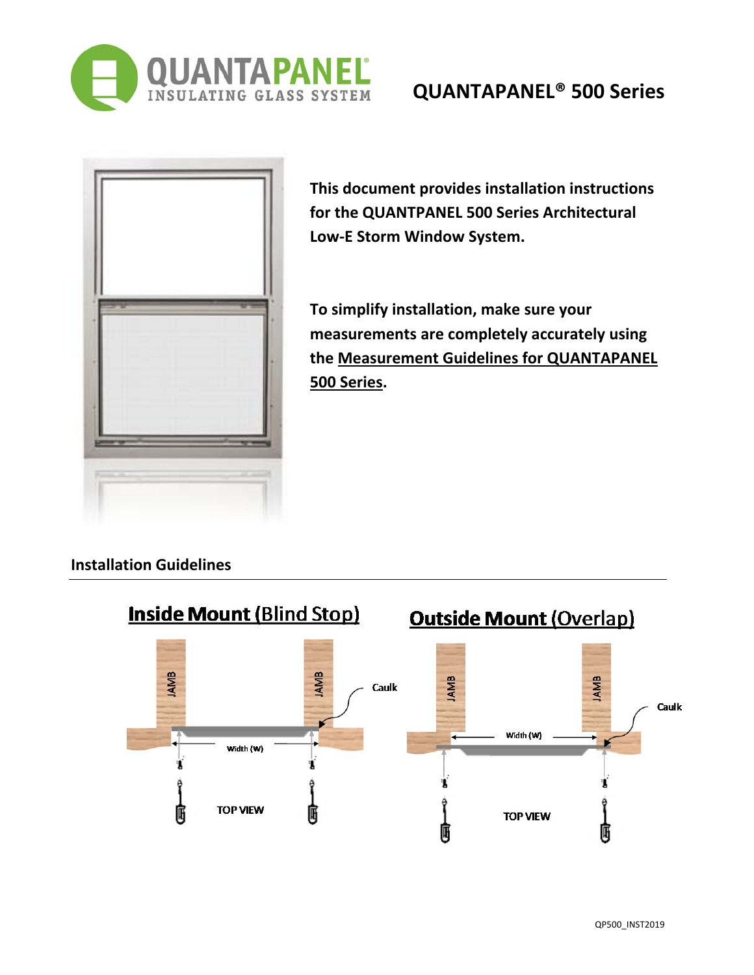

## **QUANTAPANEL® 500 Series**

| ٠ |  |  |
|---|--|--|
|   |  |  |

**This document provides installation instructions for the QUANTPANEL 500 Series Architectural Low‐E Storm Window System.**

**To simplify installation, make sure your measurements are completely accurately using the Measurement Guidelines for QUANTAPANEL 500 Series.**

## **Installation Guidelines**